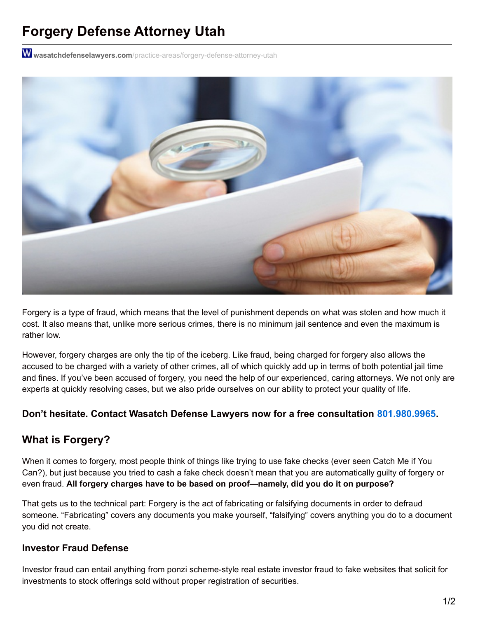# **Forgery Defense Attorney Utah**

W wasatchdefenselawyers.com[/practice-areas/forgery-defense-attorney-utah](https://wasatchdefenselawyers.com/practice-areas/forgery-defense-attorney-utah)



Forgery is a type of fraud, which means that the level of punishment depends on what was stolen and how much it cost. It also means that, unlike more serious crimes, there is no minimum jail sentence and even the maximum is rather low.

However, forgery charges are only the tip of the iceberg. Like fraud, being charged for forgery also allows the accused to be charged with a variety of other crimes, all of which quickly add up in terms of both potential jail time and fines. If you've been accused of forgery, you need the help of our experienced, caring attorneys. We not only are experts at quickly resolving cases, but we also pride ourselves on our ability to protect your quality of life.

#### **Don't hesitate. Contact Wasatch Defense Lawyers now for a free consultation [801.980.9965](tel:8019809965).**

# **What is Forgery?**

When it comes to forgery, most people think of things like trying to use fake checks (ever seen Catch Me if You Can?), but just because you tried to cash a fake check doesn't mean that you are automatically guilty of forgery or even fraud. **All forgery charges have to be based on proof—namely, did you do it on purpose?**

That gets us to the technical part: Forgery is the act of fabricating or falsifying documents in order to defraud someone. "Fabricating" covers any documents you make yourself, "falsifying" covers anything you do to a document you did not create.

#### **Investor Fraud Defense**

Investor fraud can entail anything from ponzi scheme-style real estate investor fraud to fake websites that solicit for investments to stock offerings sold without proper registration of securities.